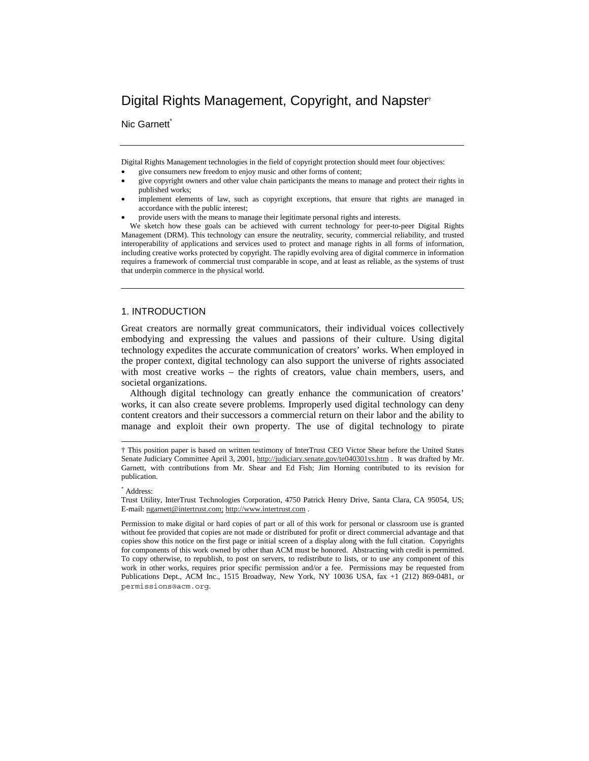# Digital Rights Management, Copyright, and Napster†

Nic Garnett<sup>\*</sup>

Digital Rights Management technologies in the field of copyright protection should meet four objectives:

- give consumers new freedom to enjoy music and other forms of content;
- give copyright owners and other value chain participants the means to manage and protect their rights in published works;
- implement elements of law, such as copyright exceptions, that ensure that rights are managed in accordance with the public interest;
- provide users with the means to manage their legitimate personal rights and interests.

We sketch how these goals can be achieved with current technology for peer-to-peer Digital Rights Management (DRM). This technology can ensure the neutrality, security, commercial reliability, and trusted interoperability of applications and services used to protect and manage rights in all forms of information, including creative works protected by copyright. The rapidly evolving area of digital commerce in information requires a framework of commercial trust comparable in scope, and at least as reliable, as the systems of trust that underpin commerce in the physical world.

## 1. INTRODUCTION

Great creators are normally great communicators, their individual voices collectively embodying and expressing the values and passions of their culture. Using digital technology expedites the accurate communication of creators' works. When employed in the proper context, digital technology can also support the universe of rights associated with most creative works – the rights of creators, value chain members, users, and societal organizations.

Although digital technology can greatly enhance the communication of creators' works, it can also create severe problems. Improperly used digital technology can deny content creators and their successors a commercial return on their labor and the ability to manage and exploit their own property. The use of digital technology to pirate

 $\overline{a}$ 

<sup>†</sup> This position paper is based on written testimony of InterTrust CEO Victor Shear before the United States Senate Judiciary Committee April 3, 2001, http://judiciary.senate.gov/te040301vs.htm . It was drafted by Mr. Garnett, with contributions from Mr. Shear and Ed Fish; Jim Horning contributed to its revision for publication.

<sup>\*</sup> Address:

Trust Utility, InterTrust Technologies Corporation, 4750 Patrick Henry Drive, Santa Clara, CA 95054, US; E-mail: ngarnett@intertrust.com; http://www.intertrust.com .

Permission to make digital or hard copies of part or all of this work for personal or classroom use is granted without fee provided that copies are not made or distributed for profit or direct commercial advantage and that copies show this notice on the first page or initial screen of a display along with the full citation. Copyrights for components of this work owned by other than ACM must be honored. Abstracting with credit is permitted. To copy otherwise, to republish, to post on servers, to redistribute to lists, or to use any component of this work in other works, requires prior specific permission and/or a fee. Permissions may be requested from Publications Dept., ACM Inc., 1515 Broadway, New York, NY 10036 USA, fax +1 (212) 869-0481, or permissions@acm.org.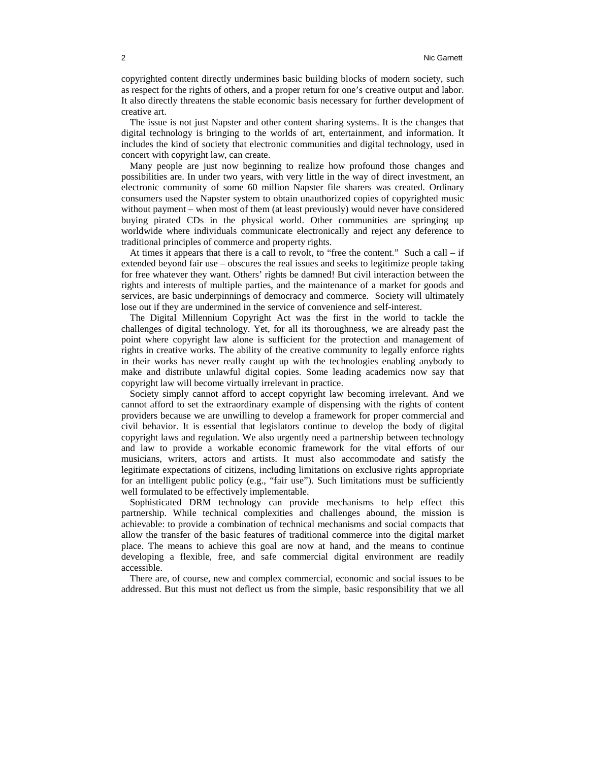copyrighted content directly undermines basic building blocks of modern society, such as respect for the rights of others, and a proper return for one's creative output and labor. It also directly threatens the stable economic basis necessary for further development of creative art.

The issue is not just Napster and other content sharing systems. It is the changes that digital technology is bringing to the worlds of art, entertainment, and information. It includes the kind of society that electronic communities and digital technology, used in concert with copyright law, can create.

Many people are just now beginning to realize how profound those changes and possibilities are. In under two years, with very little in the way of direct investment, an electronic community of some 60 million Napster file sharers was created. Ordinary consumers used the Napster system to obtain unauthorized copies of copyrighted music without payment – when most of them (at least previously) would never have considered buying pirated CDs in the physical world. Other communities are springing up worldwide where individuals communicate electronically and reject any deference to traditional principles of commerce and property rights.

At times it appears that there is a call to revolt, to "free the content." Such a call – if extended beyond fair use – obscures the real issues and seeks to legitimize people taking for free whatever they want. Others' rights be damned! But civil interaction between the rights and interests of multiple parties, and the maintenance of a market for goods and services, are basic underpinnings of democracy and commerce. Society will ultimately lose out if they are undermined in the service of convenience and self-interest.

The Digital Millennium Copyright Act was the first in the world to tackle the challenges of digital technology. Yet, for all its thoroughness, we are already past the point where copyright law alone is sufficient for the protection and management of rights in creative works. The ability of the creative community to legally enforce rights in their works has never really caught up with the technologies enabling anybody to make and distribute unlawful digital copies. Some leading academics now say that copyright law will become virtually irrelevant in practice.

Society simply cannot afford to accept copyright law becoming irrelevant. And we cannot afford to set the extraordinary example of dispensing with the rights of content providers because we are unwilling to develop a framework for proper commercial and civil behavior. It is essential that legislators continue to develop the body of digital copyright laws and regulation. We also urgently need a partnership between technology and law to provide a workable economic framework for the vital efforts of our musicians, writers, actors and artists. It must also accommodate and satisfy the legitimate expectations of citizens, including limitations on exclusive rights appropriate for an intelligent public policy (e.g., "fair use"). Such limitations must be sufficiently well formulated to be effectively implementable.

Sophisticated DRM technology can provide mechanisms to help effect this partnership. While technical complexities and challenges abound, the mission is achievable: to provide a combination of technical mechanisms and social compacts that allow the transfer of the basic features of traditional commerce into the digital market place. The means to achieve this goal are now at hand, and the means to continue developing a flexible, free, and safe commercial digital environment are readily accessible.

There are, of course, new and complex commercial, economic and social issues to be addressed. But this must not deflect us from the simple, basic responsibility that we all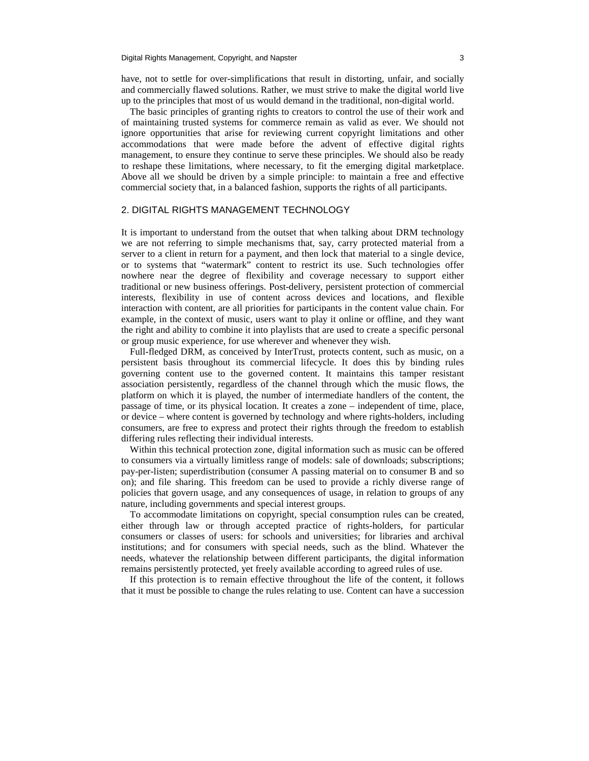have, not to settle for over-simplifications that result in distorting, unfair, and socially and commercially flawed solutions. Rather, we must strive to make the digital world live up to the principles that most of us would demand in the traditional, non-digital world.

The basic principles of granting rights to creators to control the use of their work and of maintaining trusted systems for commerce remain as valid as ever. We should not ignore opportunities that arise for reviewing current copyright limitations and other accommodations that were made before the advent of effective digital rights management, to ensure they continue to serve these principles. We should also be ready to reshape these limitations, where necessary, to fit the emerging digital marketplace. Above all we should be driven by a simple principle: to maintain a free and effective commercial society that, in a balanced fashion, supports the rights of all participants.

#### 2. DIGITAL RIGHTS MANAGEMENT TECHNOLOGY

It is important to understand from the outset that when talking about DRM technology we are not referring to simple mechanisms that, say, carry protected material from a server to a client in return for a payment, and then lock that material to a single device, or to systems that "watermark" content to restrict its use. Such technologies offer nowhere near the degree of flexibility and coverage necessary to support either traditional or new business offerings. Post-delivery, persistent protection of commercial interests, flexibility in use of content across devices and locations, and flexible interaction with content, are all priorities for participants in the content value chain. For example, in the context of music, users want to play it online or offline, and they want the right and ability to combine it into playlists that are used to create a specific personal or group music experience, for use wherever and whenever they wish.

Full-fledged DRM, as conceived by InterTrust, protects content, such as music, on a persistent basis throughout its commercial lifecycle. It does this by binding rules governing content use to the governed content. It maintains this tamper resistant association persistently, regardless of the channel through which the music flows, the platform on which it is played, the number of intermediate handlers of the content, the passage of time, or its physical location. It creates a zone – independent of time, place, or device – where content is governed by technology and where rights-holders, including consumers, are free to express and protect their rights through the freedom to establish differing rules reflecting their individual interests.

Within this technical protection zone, digital information such as music can be offered to consumers via a virtually limitless range of models: sale of downloads; subscriptions; pay-per-listen; superdistribution (consumer A passing material on to consumer B and so on); and file sharing. This freedom can be used to provide a richly diverse range of policies that govern usage, and any consequences of usage, in relation to groups of any nature, including governments and special interest groups.

To accommodate limitations on copyright, special consumption rules can be created, either through law or through accepted practice of rights-holders, for particular consumers or classes of users: for schools and universities; for libraries and archival institutions; and for consumers with special needs, such as the blind. Whatever the needs, whatever the relationship between different participants, the digital information remains persistently protected, yet freely available according to agreed rules of use.

If this protection is to remain effective throughout the life of the content, it follows that it must be possible to change the rules relating to use. Content can have a succession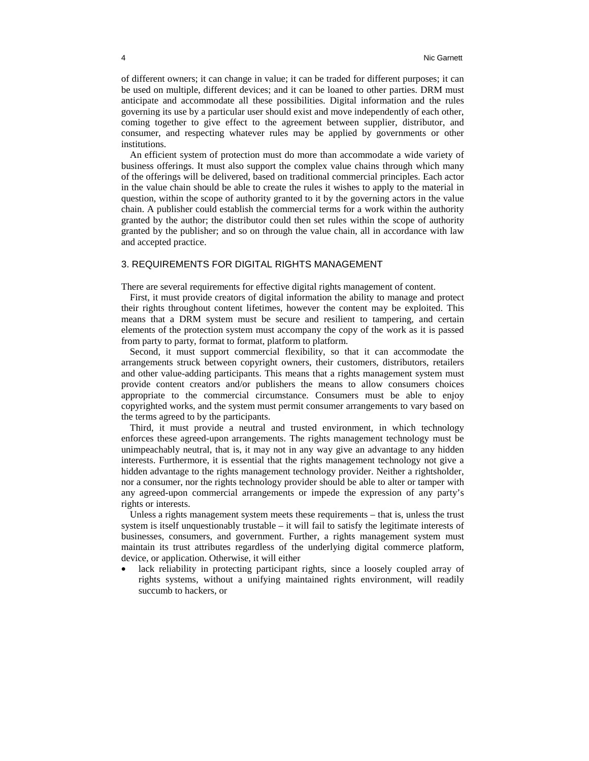of different owners; it can change in value; it can be traded for different purposes; it can be used on multiple, different devices; and it can be loaned to other parties. DRM must anticipate and accommodate all these possibilities. Digital information and the rules governing its use by a particular user should exist and move independently of each other, coming together to give effect to the agreement between supplier, distributor, and consumer, and respecting whatever rules may be applied by governments or other institutions.

An efficient system of protection must do more than accommodate a wide variety of business offerings. It must also support the complex value chains through which many of the offerings will be delivered, based on traditional commercial principles. Each actor in the value chain should be able to create the rules it wishes to apply to the material in question, within the scope of authority granted to it by the governing actors in the value chain. A publisher could establish the commercial terms for a work within the authority granted by the author; the distributor could then set rules within the scope of authority granted by the publisher; and so on through the value chain, all in accordance with law and accepted practice.

### 3. REQUIREMENTS FOR DIGITAL RIGHTS MANAGEMENT

There are several requirements for effective digital rights management of content.

First, it must provide creators of digital information the ability to manage and protect their rights throughout content lifetimes, however the content may be exploited. This means that a DRM system must be secure and resilient to tampering, and certain elements of the protection system must accompany the copy of the work as it is passed from party to party, format to format, platform to platform.

Second, it must support commercial flexibility, so that it can accommodate the arrangements struck between copyright owners, their customers, distributors, retailers and other value-adding participants. This means that a rights management system must provide content creators and/or publishers the means to allow consumers choices appropriate to the commercial circumstance. Consumers must be able to enjoy copyrighted works, and the system must permit consumer arrangements to vary based on the terms agreed to by the participants.

Third, it must provide a neutral and trusted environment, in which technology enforces these agreed-upon arrangements. The rights management technology must be unimpeachably neutral, that is, it may not in any way give an advantage to any hidden interests. Furthermore, it is essential that the rights management technology not give a hidden advantage to the rights management technology provider. Neither a rightsholder, nor a consumer, nor the rights technology provider should be able to alter or tamper with any agreed-upon commercial arrangements or impede the expression of any party's rights or interests.

Unless a rights management system meets these requirements – that is, unless the trust system is itself unquestionably trustable – it will fail to satisfy the legitimate interests of businesses, consumers, and government. Further, a rights management system must maintain its trust attributes regardless of the underlying digital commerce platform, device, or application. Otherwise, it will either

lack reliability in protecting participant rights, since a loosely coupled array of rights systems, without a unifying maintained rights environment, will readily succumb to hackers, or